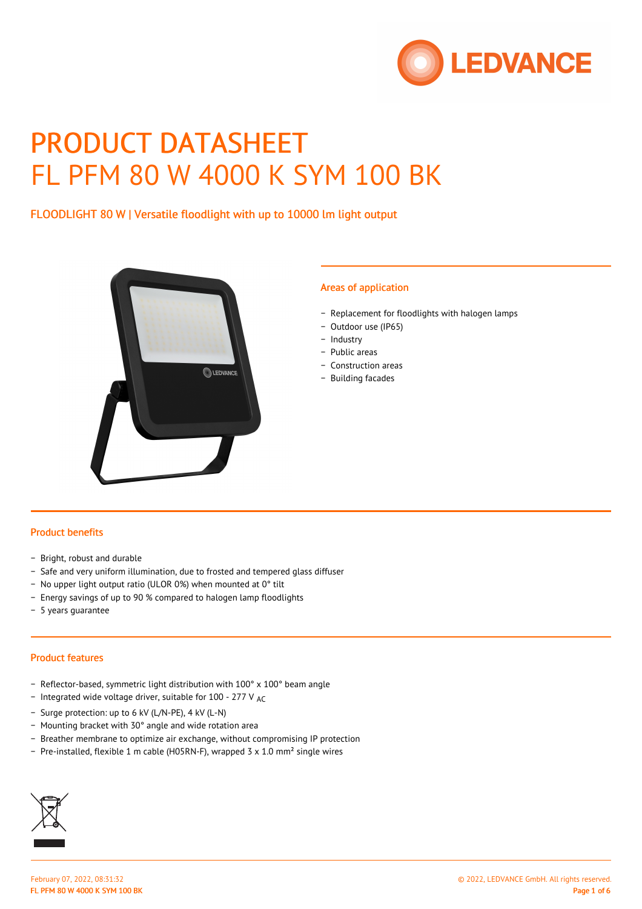

# PRODUCT DATASHEET FL PFM 80 W 4000 K SYM 100 BK

FLOODLIGHT 80 W | Versatile floodlight with up to 10000 lm light output



#### Areas of application

- − Replacement for floodlights with halogen lamps
- − Outdoor use (IP65)
- − Industry
- − Public areas
- − Construction areas
- − Building facades

#### Product benefits

- − Bright, robust and durable
- − Safe and very uniform illumination, due to frosted and tempered glass diffuser
- − No upper light output ratio (ULOR 0%) when mounted at 0° tilt
- − Energy savings of up to 90 % compared to halogen lamp floodlights
- − 5 years guarantee

#### Product features

- − Reflector-based, symmetric light distribution with 100° x 100° beam angle
- − Integrated wide voltage driver, suitable for 100 277 V AC
- − Surge protection: up to 6 kV (L/N-PE), 4 kV (L-N)
- − Mounting bracket with 30° angle and wide rotation area
- − Breather membrane to optimize air exchange, without compromising IP protection
- − Pre-installed, flexible 1 m cable (H05RN-F), wrapped 3 x 1.0 mm² single wires

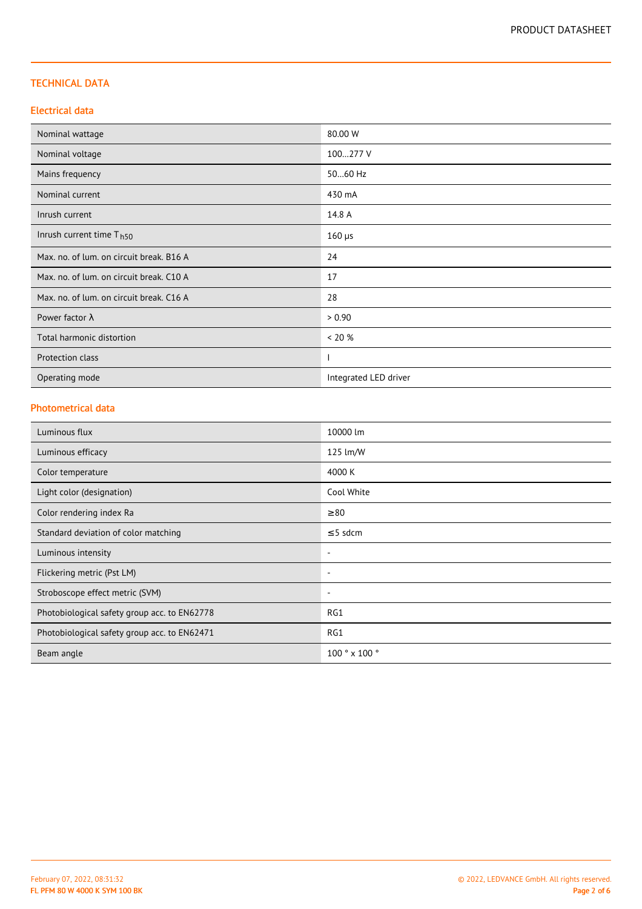## TECHNICAL DATA

## Electrical data

| Nominal wattage                          | 80.00 W               |  |
|------------------------------------------|-----------------------|--|
| Nominal voltage                          | 100277 V              |  |
| Mains frequency                          | 5060 Hz               |  |
| Nominal current                          | 430 mA                |  |
| Inrush current                           | 14.8 A                |  |
| Inrush current time T <sub>h50</sub>     | $160 \mu s$           |  |
| Max. no. of lum. on circuit break. B16 A | 24                    |  |
| Max. no. of lum. on circuit break. C10 A | 17                    |  |
| Max. no. of lum. on circuit break. C16 A | 28                    |  |
| Power factor $\lambda$                   | > 0.90                |  |
| Total harmonic distortion                | < 20 %                |  |
| Protection class                         |                       |  |
| Operating mode                           | Integrated LED driver |  |

# Photometrical data

| Luminous flux                                | 10000 lm                 |
|----------------------------------------------|--------------------------|
| Luminous efficacy                            | 125 lm/W                 |
| Color temperature                            | 4000 K                   |
| Light color (designation)                    | Cool White               |
| Color rendering index Ra                     | $\geq 80$                |
| Standard deviation of color matching         | $\leq$ 5 sdcm            |
| Luminous intensity                           | $\overline{\phantom{a}}$ |
| Flickering metric (Pst LM)                   | $\overline{\phantom{a}}$ |
| Stroboscope effect metric (SVM)              | $\overline{\phantom{a}}$ |
| Photobiological safety group acc. to EN62778 | RG1                      |
| Photobiological safety group acc. to EN62471 | RG1                      |
| Beam angle                                   | 100 ° x 100 °            |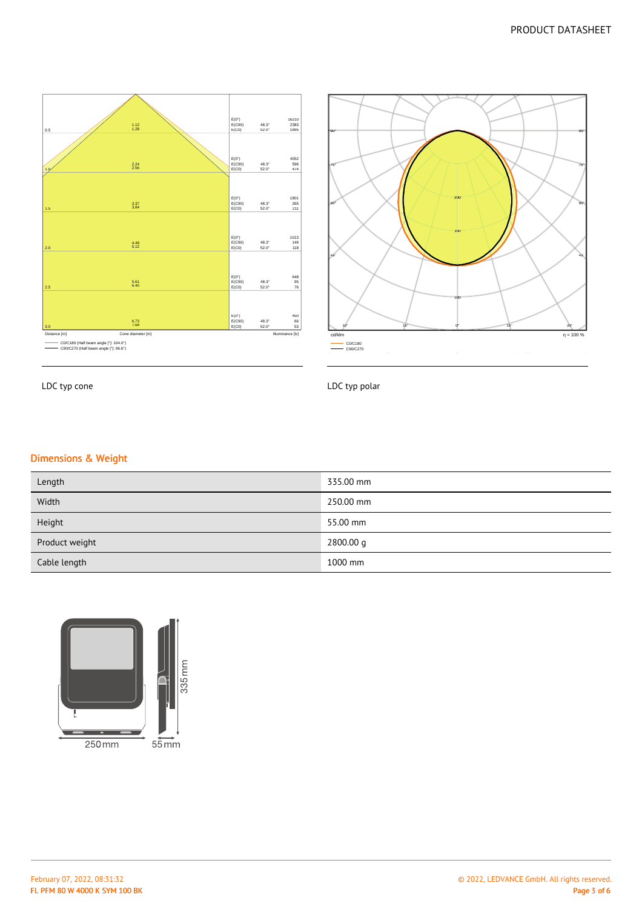



LDC typ cone

LDC typ polar

## Dimensions & Weight

| Length         | 335.00 mm |
|----------------|-----------|
| Width          | 250.00 mm |
| Height         | 55.00 mm  |
| Product weight | 2800.00 g |
| Cable length   | 1000 mm   |

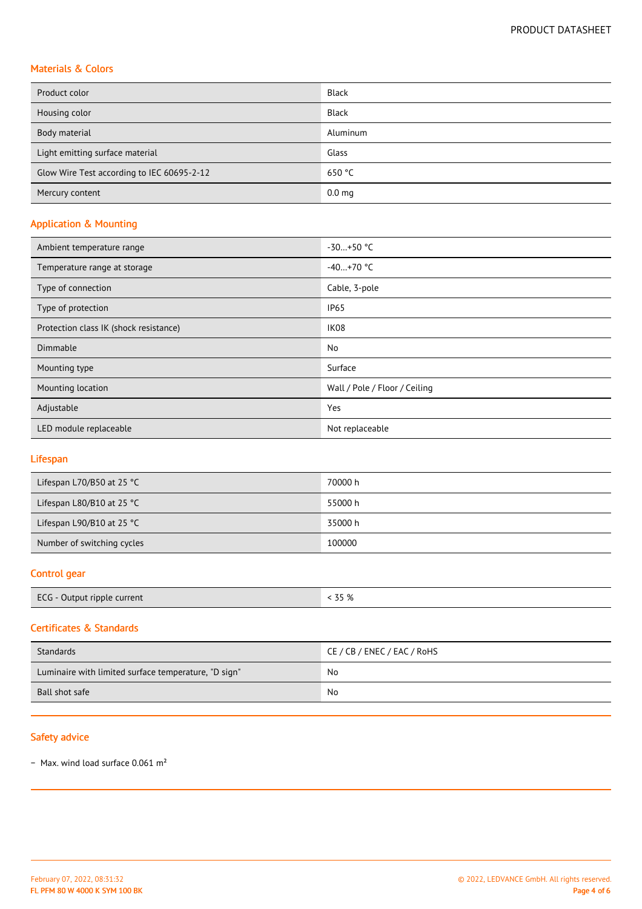# Materials & Colors

| Product color                              | <b>Black</b>      |
|--------------------------------------------|-------------------|
| Housing color                              | <b>Black</b>      |
| Body material                              | Aluminum          |
| Light emitting surface material            | Glass             |
| Glow Wire Test according to IEC 60695-2-12 | 650 $°C$          |
| Mercury content                            | 0.0 <sub>mg</sub> |

# Application & Mounting

| Ambient temperature range              | $-30+50$ °C                   |  |
|----------------------------------------|-------------------------------|--|
| Temperature range at storage           | $-40+70$ °C                   |  |
| Type of connection                     | Cable, 3-pole                 |  |
| Type of protection                     | <b>IP65</b>                   |  |
| Protection class IK (shock resistance) | IK08                          |  |
| Dimmable                               | No                            |  |
| Mounting type                          | Surface                       |  |
| Mounting location                      | Wall / Pole / Floor / Ceiling |  |
| Adjustable                             | Yes                           |  |
| LED module replaceable                 | Not replaceable               |  |

## Lifespan

| Lifespan L70/B50 at 25 $^{\circ}$ C | 70000 h |
|-------------------------------------|---------|
| Lifespan L80/B10 at 25 $^{\circ}$ C | 55000 h |
| Lifespan L90/B10 at 25 °C           | 35000 h |
| Number of switching cycles          | 100000  |

## Control gear

| ECG - Output ripple current | $7 - 01$<br>- 70<br><u>لى بى</u> |
|-----------------------------|----------------------------------|
|-----------------------------|----------------------------------|

## Certificates & Standards

| Standards                                            | CE / CB / ENEC / EAC / RoHS |
|------------------------------------------------------|-----------------------------|
| Luminaire with limited surface temperature, "D sign" | No                          |
| Ball shot safe                                       | No                          |

## Safety advice

− Max. wind load surface 0.061 m²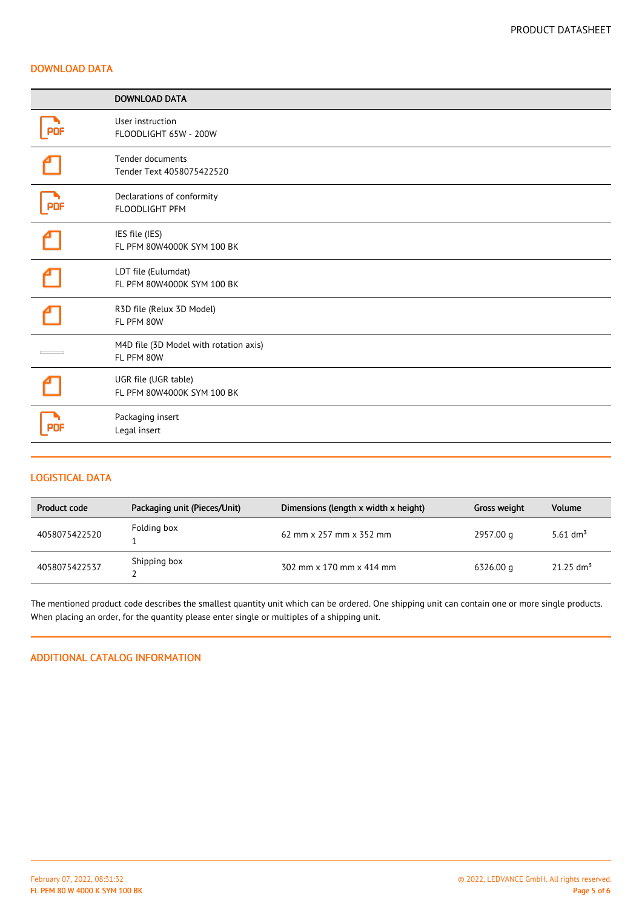#### DOWNLOAD DATA

|            | <b>DOWNLOAD DATA</b>                                 |
|------------|------------------------------------------------------|
|            | User instruction<br>FLOODLIGHT 65W - 200W            |
|            | Tender documents<br>Tender Text 4058075422520        |
| <b>PDF</b> | Declarations of conformity<br>FLOODLIGHT PFM         |
|            | IES file (IES)<br>FL PFM 80W4000K SYM 100 BK         |
|            | LDT file (Eulumdat)<br>FL PFM 80W4000K SYM 100 BK    |
|            | R3D file (Relux 3D Model)<br>FL PFM 80W              |
|            | M4D file (3D Model with rotation axis)<br>FL PFM 80W |
|            | UGR file (UGR table)<br>FL PFM 80W4000K SYM 100 BK   |
| <b>PDF</b> | Packaging insert<br>Legal insert                     |

## LOGISTICAL DATA

| Product code  | Packaging unit (Pieces/Unit) | Dimensions (length x width x height)  | Gross weight | <b>Volume</b>           |
|---------------|------------------------------|---------------------------------------|--------------|-------------------------|
| 4058075422520 | Folding box                  | 62 mm $\times$ 257 mm $\times$ 352 mm | 2957.00 g    | 5.61 dm <sup>3</sup>    |
| 4058075422537 | Shipping box                 | 302 mm x 170 mm x 414 mm              | 6326.00 g    | $21.25$ dm <sup>3</sup> |

The mentioned product code describes the smallest quantity unit which can be ordered. One shipping unit can contain one or more single products. When placing an order, for the quantity please enter single or multiples of a shipping unit.

## ADDITIONAL CATALOG INFORMATION